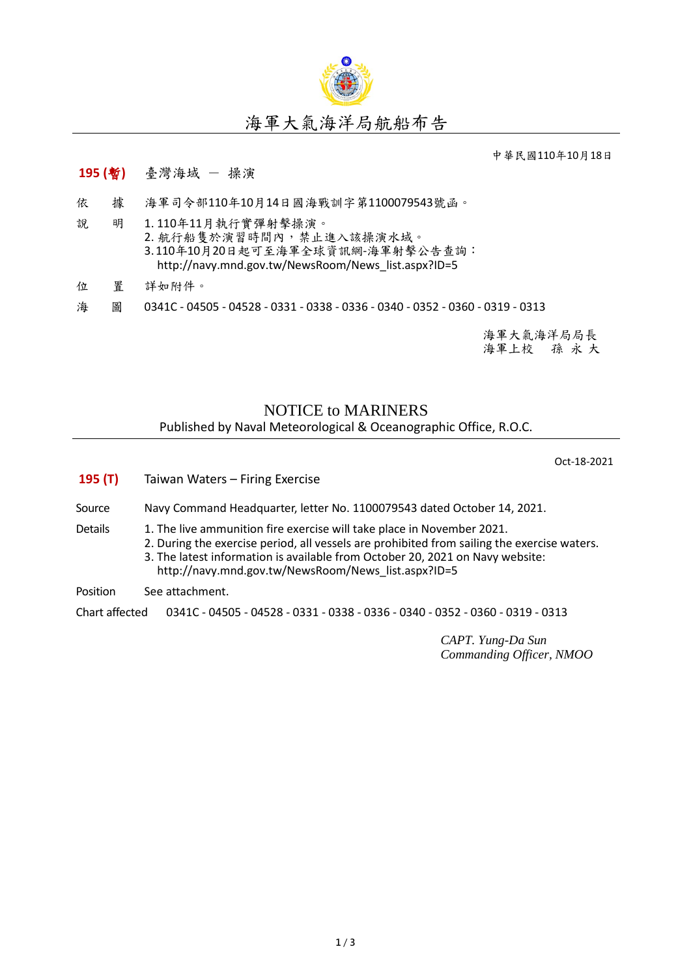

## 海軍大氣海洋局航船布告

中華民國110年10月18日

## **195 (**暫**)** 臺灣海域 - 操演

- 依 據 海軍司令部110年10月14日國海戰訓字第1100079543號函。
- 說 明 1. 110年11月執行實彈射擊操演。 2. 航行船售於演習時間內,禁止進入該操演水域。 3.110年10月20日起可至海軍全球資訊網-海軍射擊公告查詢: [http://navy.mnd.gov.tw/NewsRoom/News\\_list.aspx?ID=5](http://navy.mnd.gov.tw/NewsRoom/News_list.aspx?ID=5)
- 位 置 詳如附件。
- 海 圖 0341C 04505 04528 0331 0338 0336 0340 0352 0360 0319 0313

海軍大氣海洋局局長 海軍上校 孫 永 大

## NOTICE to MARINERS Published by Naval Meteorological & Oceanographic Office, R.O.C.

Oct-18-2021

| 195(T)         | Taiwan Waters – Firing Exercise                                                                                                                                                                                                                                                                               |  |  |
|----------------|---------------------------------------------------------------------------------------------------------------------------------------------------------------------------------------------------------------------------------------------------------------------------------------------------------------|--|--|
| Source         | Navy Command Headquarter, letter No. 1100079543 dated October 14, 2021.                                                                                                                                                                                                                                       |  |  |
| Details        | 1. The live ammunition fire exercise will take place in November 2021.<br>2. During the exercise period, all vessels are prohibited from sailing the exercise waters.<br>3. The latest information is available from October 20, 2021 on Navy website:<br>http://navy.mnd.gov.tw/NewsRoom/News list.aspx?ID=5 |  |  |
| Position       | See attachment.                                                                                                                                                                                                                                                                                               |  |  |
| Chart affected | 0341C - 04505 - 04528 - 0331 - 0338 - 0336 - 0340 - 0352 - 0360 - 0319 - 0313                                                                                                                                                                                                                                 |  |  |
|                |                                                                                                                                                                                                                                                                                                               |  |  |

*CAPT. Yung-Da Sun Commanding Officer, NMOO*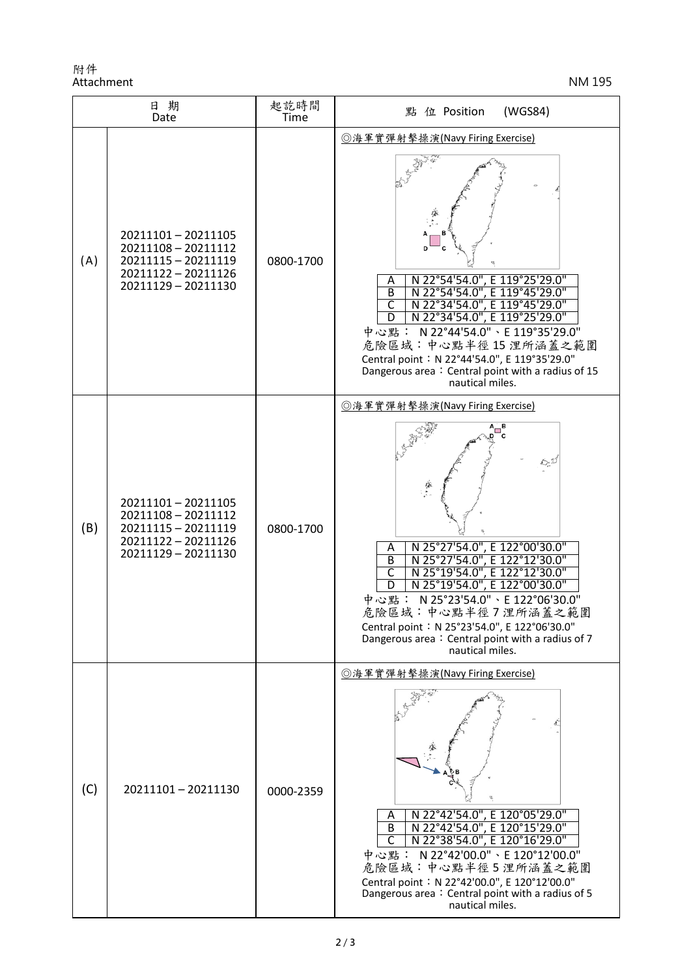附件 Attachment NM 195

| 日期<br>Date |                                                                                                               | 起訖時間<br>Time | 點 位 Position<br>(WGS84)                                                                                                                                                                                                                                                                                                                                                                     |
|------------|---------------------------------------------------------------------------------------------------------------|--------------|---------------------------------------------------------------------------------------------------------------------------------------------------------------------------------------------------------------------------------------------------------------------------------------------------------------------------------------------------------------------------------------------|
| (A)        | 20211101-20211105<br>20211108 - 20211112<br>20211115 - 20211119<br>20211122 - 20211126<br>20211129 - 20211130 | 0800-1700    | ◎海軍實彈射擊操演(Navy Firing Exercise)<br>N 22°54'54.0", E 119°25'29.0"<br>Α<br>N 22°54'54.0", E 119°45'29.0"<br>B<br>N 22°34'54.0", E 119°45'29.0"<br>N 22°34'54.0", E 119°25'29.0"<br>$\mathsf{C}$<br>D<br>中心點: N 22°44'54.0"、E 119°35'29.0"<br>危險區域:中心點半徑15浬所涵蓋之範圍<br>Central point: N 22°44'54.0", E 119°35'29.0"<br>Dangerous area: Central point with a radius of 15<br>nautical miles.      |
| (B)        | 20211101-20211105<br>20211108 - 20211112<br>20211115 - 20211119<br>20211122 - 20211126<br>20211129 - 20211130 | 0800-1700    | ◎海軍實彈射擊操演(Navy Firing Exercise)<br>N 25°27'54.0", E 122°00'30.0"<br>N 25°27'54.0", E 122°12'30.0"<br>A<br>$\overline{B}$<br>N 25°19'54.0", E 122°12'30.0"<br>C<br>N 25°19'54.0", E 122°00'30.0"<br>D<br>N 25°23'54.0" \ E 122°06'30.0"<br>中心點:<br>危險區域:中心點半徑7浬所涵蓋之範圍<br>Central point: N 25°23'54.0", E 122°06'30.0"<br>Dangerous area: Central point with a radius of 7<br>nautical miles. |
| (C)        | 20211101-20211130                                                                                             | 0000-2359    | ◎海軍實彈射擊操演(Navy Firing Exercise)<br>N 22°42'54.0", E 120°05'29.0"<br>Α<br>N 22°42'54.0", E 120°15'29.0"<br>$\overline{B}$<br>N 22°38'54.0", E 120°16'29.0"<br>$\mathsf{C}$<br>中心點: N 22°42'00.0"、E 120°12'00.0"<br>危險區域:中心點半徑5浬所涵蓋之範圍<br>Central point: N 22°42'00.0", E 120°12'00.0"<br>Dangerous area: Central point with a radius of 5<br>nautical miles.                                 |